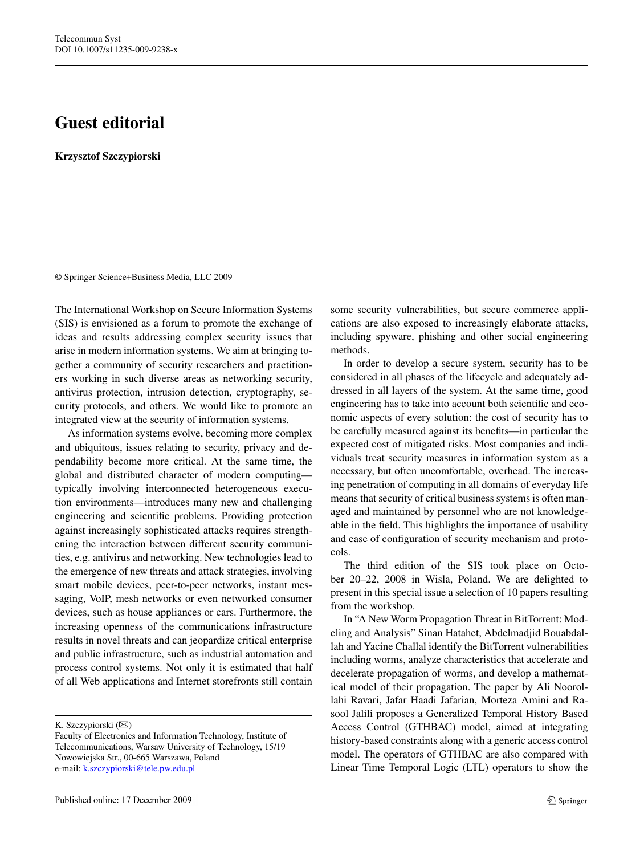## **Guest editorial**

**Krzysztof Szczypiorski**

© Springer Science+Business Media, LLC 2009

The International Workshop on Secure Information Systems (SIS) is envisioned as a forum to promote the exchange of ideas and results addressing complex security issues that arise in modern information systems. We aim at bringing together a community of security researchers and practitioners working in such diverse areas as networking security, antivirus protection, intrusion detection, cryptography, security protocols, and others. We would like to promote an integrated view at the security of information systems.

As information systems evolve, becoming more complex and ubiquitous, issues relating to security, privacy and dependability become more critical. At the same time, the global and distributed character of modern computing typically involving interconnected heterogeneous execution environments—introduces many new and challenging engineering and scientific problems. Providing protection against increasingly sophisticated attacks requires strengthening the interaction between different security communities, e.g. antivirus and networking. New technologies lead to the emergence of new threats and attack strategies, involving smart mobile devices, peer-to-peer networks, instant messaging, VoIP, mesh networks or even networked consumer devices, such as house appliances or cars. Furthermore, the increasing openness of the communications infrastructure results in novel threats and can jeopardize critical enterprise and public infrastructure, such as industrial automation and process control systems. Not only it is estimated that half of all Web applications and Internet storefronts still contain

Published online: 17 December 2009

some security vulnerabilities, but secure commerce applications are also exposed to increasingly elaborate attacks, including spyware, phishing and other social engineering methods.

In order to develop a secure system, security has to be considered in all phases of the lifecycle and adequately addressed in all layers of the system. At the same time, good engineering has to take into account both scientific and economic aspects of every solution: the cost of security has to be carefully measured against its benefits—in particular the expected cost of mitigated risks. Most companies and individuals treat security measures in information system as a necessary, but often uncomfortable, overhead. The increasing penetration of computing in all domains of everyday life means that security of critical business systems is often managed and maintained by personnel who are not knowledgeable in the field. This highlights the importance of usability and ease of configuration of security mechanism and protocols.

The third edition of the SIS took place on October 20–22, 2008 in Wisla, Poland. We are delighted to present in this special issue a selection of 10 papers resulting from the workshop.

In "A New Worm Propagation Threat in BitTorrent: Modeling and Analysis" Sinan Hatahet, Abdelmadjid Bouabdallah and Yacine Challal identify the BitTorrent vulnerabilities including worms, analyze characteristics that accelerate and decelerate propagation of worms, and develop a mathematical model of their propagation. The paper by Ali Noorollahi Ravari, Jafar Haadi Jafarian, Morteza Amini and Rasool Jalili proposes a Generalized Temporal History Based Access Control (GTHBAC) model, aimed at integrating history-based constraints along with a generic access control model. The operators of GTHBAC are also compared with Linear Time Temporal Logic (LTL) operators to show the

K. Szczypiorski (⊠)

Faculty of Electronics and Information Technology, Institute of Telecommunications, Warsaw University of Technology, 15/19 Nowowiejska Str., 00-665 Warszawa, Poland e-mail: [k.szczypiorski@tele.pw.edu.pl](mailto:k.szczypiorski@tele.pw.edu.pl)